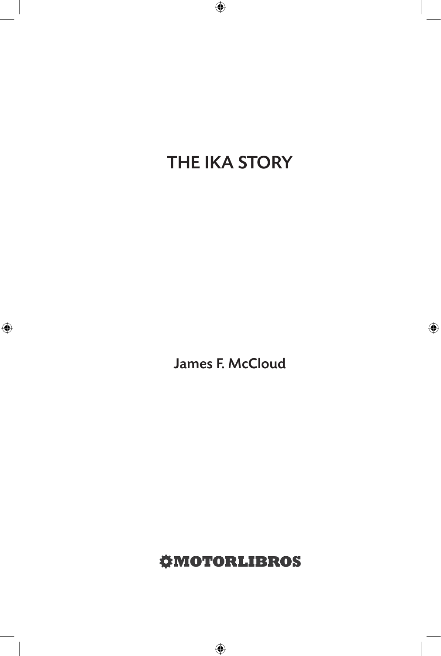## THE IKA STORY

 $\bigoplus$ 

James F. McCloud

◈

 $\bigoplus$ 

**ÖMOTORLIBROS** 

 $\bigoplus$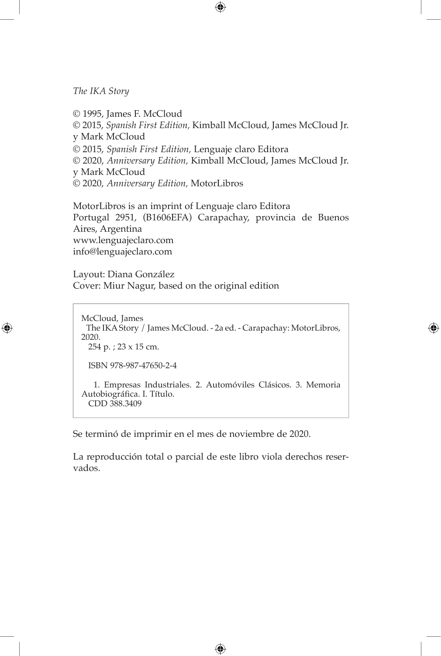*The IKA Story*

© 1995, James F. McCloud

© 2015, *Spanish First Edition,* Kimball McCloud, James McCloud Jr.

 $\bigcirc$ 

y Mark McCloud

© 2015, *Spanish First Edition,* Lenguaje claro Editora

© 2020, *Anniversary Edition,* Kimball McCloud, James McCloud Jr.

y Mark McCloud

◈

© 2020, *Anniversary Edition,* MotorLibros

MotorLibros is an imprint of Lenguaje claro Editora Portugal 2951, (B1606EFA) Carapachay, provincia de Buenos Aires, Argentina www.lenguajeclaro.com info@lenguajeclaro.com

Layout: Diana González Cover: Miur Nagur, based on the original edition

McCloud, James The IKA Story / James McCloud. - 2a ed. - Carapachay: MotorLibros, 2020. 254 p. ; 23 x 15 cm. ISBN 978-987-47650-2-4

◈

 1. Empresas Industriales. 2. Automóviles Clásicos. 3. Memoria Autobiográfica. I. Título. CDD 388.3409

Se terminó de imprimir en el mes de noviembre de 2020.

La reproducción total o parcial de este libro viola derechos reservados.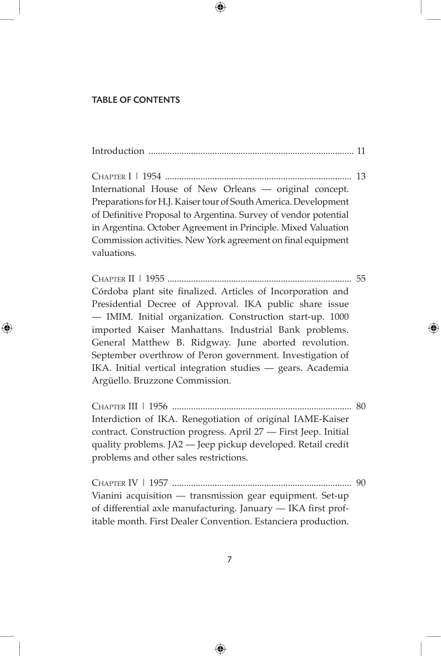## TABLE OF CONTENTS

◈

Chapter I | 1954 ............................................................................... 13 International House of New Orleans — original concept. Preparations for H.J. Kaiser tour of South America. Development of Definitive Proposal to Argentina. Survey of vendor potential in Argentina. October Agreement in Principle. Mixed Valuation Commission activities. New York agreement on final equipment valuations.

Chapter II | 1955 .............................................................................. 55 Córdoba plant site finalized. Articles of Incorporation and Presidential Decree of Approval. IKA public share issue — IMIM. Initial organization. Construction start-up. 1000 imported Kaiser Manhattans. Industrial Bank problems. General Matthew B. Ridgway. June aborted revolution. September overthrow of Peron government. Investigation of IKA. Initial vertical integration studies — gears. Academia Argüello. Bruzzone Commission.

Chapter III | 1956 ............................................................................ 80 Interdiction of IKA. Renegotiation of original IAME-Kaiser contract. Construction progress. April 27 — First Jeep. Initial quality problems. JA2 — Jeep pickup developed. Retail credit problems and other sales restrictions.

Chapter IV | 1957 ............................................................................ 90 Vianini acquisition — transmission gear equipment. Set-up of differential axle manufacturing. January — IKA first profitable month. First Dealer Convention. Estanciera production.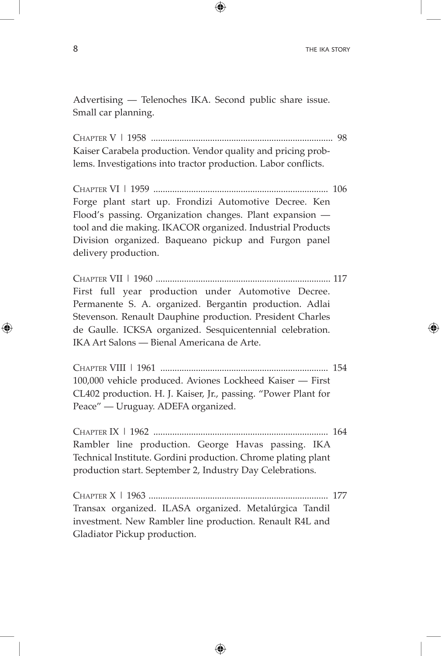Advertising — Telenoches IKA. Second public share issue. Small car planning.

Chapter V | 1958 ............................................................................. 98 Kaiser Carabela production. Vendor quality and pricing problems. Investigations into tractor production. Labor conflicts.

 $\bigcirc \hspace{-1.4mm} \bullet$ 

Chapter VI | 1959 .......................................................................... 106 Forge plant start up. Frondizi Automotive Decree. Ken Flood's passing. Organization changes. Plant expansion tool and die making. IKACOR organized. Industrial Products Division organized. Baqueano pickup and Furgon panel delivery production.

Chapter VII | 1960 .......................................................................... 117 First full year production under Automotive Decree. Permanente S. A. organized. Bergantin production. Adlai Stevenson. Renault Dauphine production. President Charles de Gaulle. ICKSA organized. Sesquicentennial celebration. IKA Art Salons — Bienal Americana de Arte.

Chapter VIII | 1961 ....................................................................... 154 100,000 vehicle produced. Aviones Lockheed Kaiser — First CL402 production. H. J. Kaiser, Jr., passing. "Power Plant for Peace" — Uruguay. ADEFA organized.

Chapter IX | 1962 .......................................................................... 164 Rambler line production. George Havas passing. IKA Technical Institute. Gordini production. Chrome plating plant production start. September 2, Industry Day Celebrations.

Chapter X | 1963 ............................................................................ 177 Transax organized. ILASA organized. Metalúrgica Tandil investment. New Rambler line production. Renault R4L and Gladiator Pickup production.

◈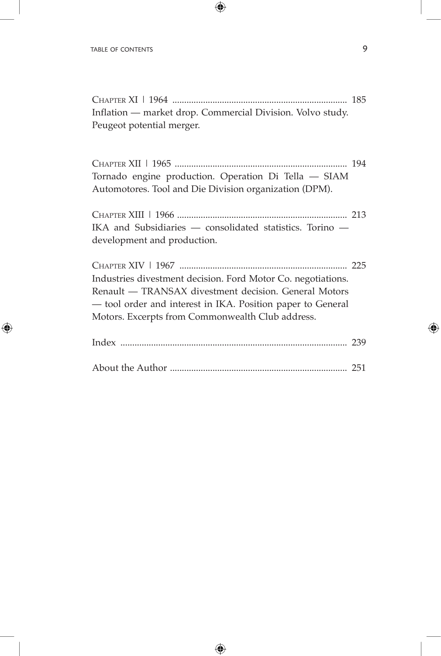TABLE OF CONTENTS 9

◈

Chapter XI | 1964 .......................................................................... 185 Inflation — market drop. Commercial Division. Volvo study. Peugeot potential merger. Chapter XII | 1965 ......................................................................... 194 Tornado engine production. Operation Di Tella — SIAM Automotores. Tool and Die Division organization (DPM). Chapter XIII | 1966 ........................................................................ 213 IKA and Subsidiaries — consolidated statistics. Torino development and production. Chapter XIV | 1967 ....................................................................... 225 Industries divestment decision. Ford Motor Co. negotiations. Renault — TRANSAX divestment decision. General Motors — tool order and interest in IKA. Position paper to General Motors. Excerpts from Commonwealth Club address. Index ................................................................................................ 239 About the Author ........................................................................... 251

◈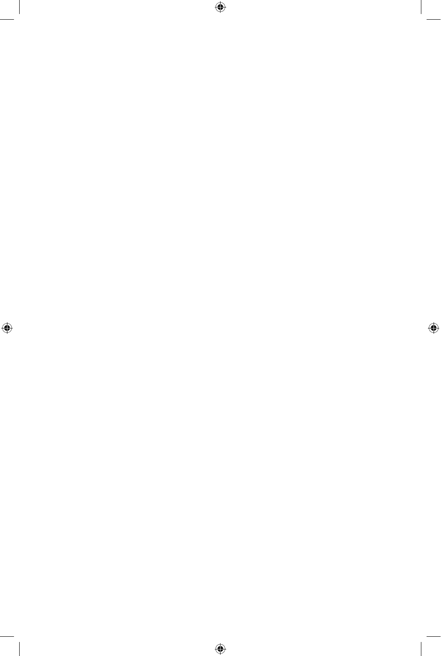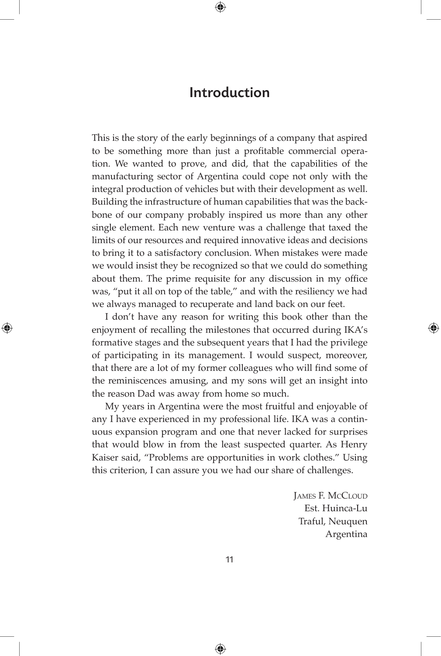## Introduction

◈

This is the story of the early beginnings of a company that aspired to be something more than just a profitable commercial operation. We wanted to prove, and did, that the capabilities of the manufacturing sector of Argentina could cope not only with the integral production of vehicles but with their development as well. Building the infrastructure of human capabilities that was the backbone of our company probably inspired us more than any other single element. Each new venture was a challenge that taxed the limits of our resources and required innovative ideas and decisions to bring it to a satisfactory conclusion. When mistakes were made we would insist they be recognized so that we could do something about them. The prime requisite for any discussion in my office was, "put it all on top of the table," and with the resiliency we had we always managed to recuperate and land back on our feet.

I don't have any reason for writing this book other than the enjoyment of recalling the milestones that occurred during IKA's formative stages and the subsequent years that I had the privilege of participating in its management. I would suspect, moreover, that there are a lot of my former colleagues who will find some of the reminiscences amusing, and my sons will get an insight into the reason Dad was away from home so much.

◈

My years in Argentina were the most fruitful and enjoyable of any I have experienced in my professional life. IKA was a continuous expansion program and one that never lacked for surprises that would blow in from the least suspected quarter. As Henry Kaiser said, "Problems are opportunities in work clothes." Using this criterion, I can assure you we had our share of challenges.

> **JAMES F. MCCLOUD** Est. Huinca-Lu Traful, Neuquen Argentina

11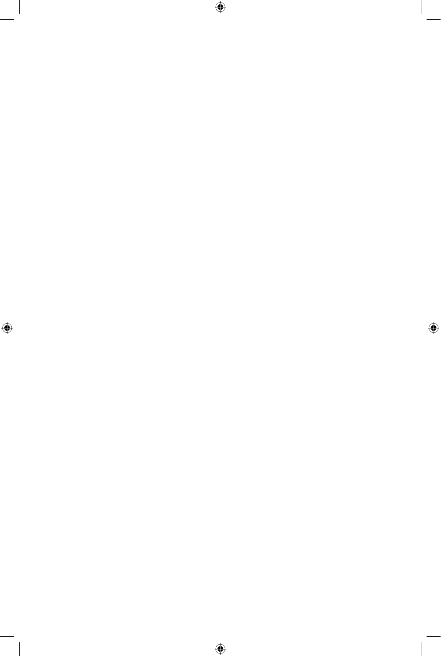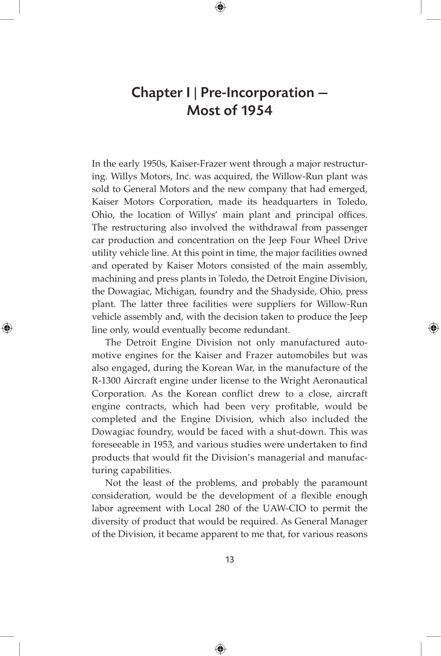## Chapter I | Pre-Incorporation — Most of 1954

◈

In the early 1950s, Kaiser-Frazer went through a major restructuring. Willys Motors, Inc. was acquired, the Willow-Run plant was sold to General Motors and the new company that had emerged, Kaiser Motors Corporation, made its headquarters in Toledo, Ohio, the location of Willys' main plant and principal offices. The restructuring also involved the withdrawal from passenger car production and concentration on the Jeep Four Wheel Drive utility vehicle line. At this point in time, the major facilities owned and operated by Kaiser Motors consisted of the main assembly, machining and press plants in Toledo, the Detroit Engine Division, the Dowagiac, Michigan, foundry and the Shadyside, Ohio, press plant. The latter three facilities were suppliers for Willow-Run vehicle assembly and, with the decision taken to produce the Jeep line only, would eventually become redundant.

The Detroit Engine Division not only manufactured automotive engines for the Kaiser and Frazer automobiles but was also engaged, during the Korean War, in the manufacture of the R-1300 Aircraft engine under license to the Wright Aeronautical Corporation. As the Korean conflict drew to a close, aircraft engine contracts, which had been very profitable, would be completed and the Engine Division, which also included the Dowagiac foundry, would be faced with a shut-down. This was foreseeable in 1953, and various studies were undertaken to find products that would fit the Division's managerial and manufacturing capabilities.

◈

Not the least of the problems, and probably the paramount consideration, would be the development of a flexible enough labor agreement with Local 280 of the UAW-CIO to permit the diversity of product that would be required. As General Manager of the Division, it became apparent to me that, for various reasons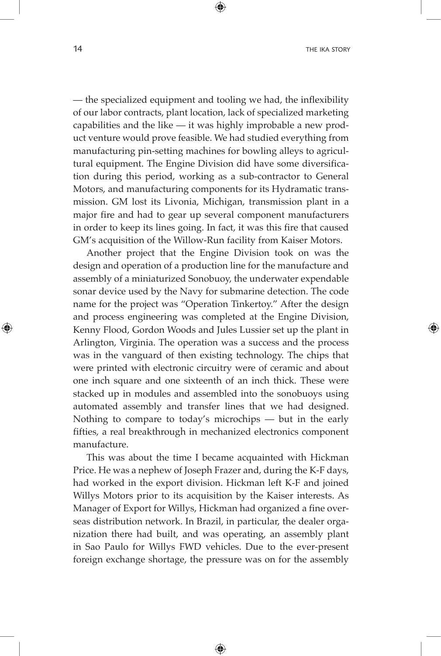— the specialized equipment and tooling we had, the inflexibility of our labor contracts, plant location, lack of specialized marketing capabilities and the like — it was highly improbable a new product venture would prove feasible. We had studied everything from manufacturing pin-setting machines for bowling alleys to agricultural equipment. The Engine Division did have some diversification during this period, working as a sub-contractor to General Motors, and manufacturing components for its Hydramatic transmission. GM lost its Livonia, Michigan, transmission plant in a major fire and had to gear up several component manufacturers in order to keep its lines going. In fact, it was this fire that caused GM's acquisition of the Willow-Run facility from Kaiser Motors.

◈

Another project that the Engine Division took on was the design and operation of a production line for the manufacture and assembly of a miniaturized Sonobuoy, the underwater expendable sonar device used by the Navy for submarine detection. The code name for the project was "Operation Tinkertoy." After the design and process engineering was completed at the Engine Division, Kenny Flood, Gordon Woods and Jules Lussier set up the plant in Arlington, Virginia. The operation was a success and the process was in the vanguard of then existing technology. The chips that were printed with electronic circuitry were of ceramic and about one inch square and one sixteenth of an inch thick. These were stacked up in modules and assembled into the sonobuoys using automated assembly and transfer lines that we had designed. Nothing to compare to today's microchips — but in the early fifties, a real breakthrough in mechanized electronics component manufacture.

This was about the time I became acquainted with Hickman Price. He was a nephew of Joseph Frazer and, during the K-F days, had worked in the export division. Hickman left K-F and joined Willys Motors prior to its acquisition by the Kaiser interests. As Manager of Export for Willys, Hickman had organized a fine overseas distribution network. In Brazil, in particular, the dealer organization there had built, and was operating, an assembly plant in Sao Paulo for Willys FWD vehicles. Due to the ever-present foreign exchange shortage, the pressure was on for the assembly

◈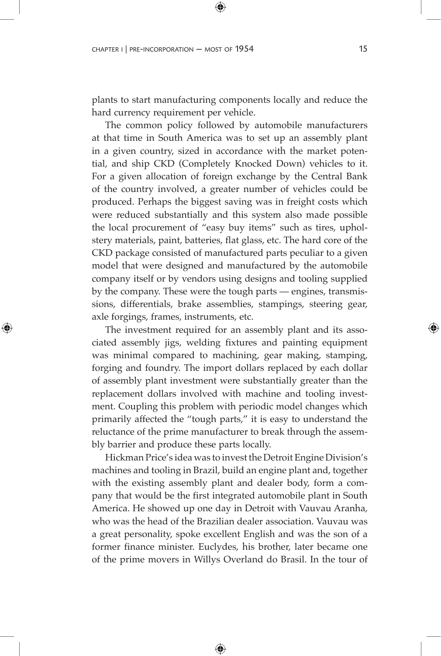◈

plants to start manufacturing components locally and reduce the hard currency requirement per vehicle.

The common policy followed by automobile manufacturers at that time in South America was to set up an assembly plant in a given country, sized in accordance with the market potential, and ship CKD (Completely Knocked Down) vehicles to it. For a given allocation of foreign exchange by the Central Bank of the country involved, a greater number of vehicles could be produced. Perhaps the biggest saving was in freight costs which were reduced substantially and this system also made possible the local procurement of "easy buy items" such as tires, upholstery materials, paint, batteries, flat glass, etc. The hard core of the CKD package consisted of manufactured parts peculiar to a given model that were designed and manufactured by the automobile company itself or by vendors using designs and tooling supplied by the company. These were the tough parts — engines, transmissions, differentials, brake assemblies, stampings, steering gear, axle forgings, frames, instruments, etc.

The investment required for an assembly plant and its associated assembly jigs, welding fixtures and painting equipment was minimal compared to machining, gear making, stamping, forging and foundry. The import dollars replaced by each dollar of assembly plant investment were substantially greater than the replacement dollars involved with machine and tooling investment. Coupling this problem with periodic model changes which primarily affected the "tough parts," it is easy to understand the reluctance of the prime manufacturer to break through the assembly barrier and produce these parts locally.

Hickman Price's idea was to invest the Detroit Engine Division's machines and tooling in Brazil, build an engine plant and, together with the existing assembly plant and dealer body, form a company that would be the first integrated automobile plant in South America. He showed up one day in Detroit with Vauvau Aranha, who was the head of the Brazilian dealer association. Vauvau was a great personality, spoke excellent English and was the son of a former finance minister. Euclydes, his brother, later became one of the prime movers in Willys Overland do Brasil. In the tour of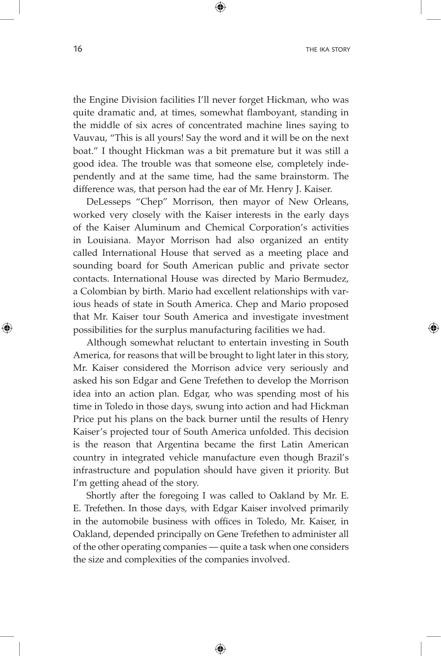the Engine Division facilities I'll never forget Hickman, who was quite dramatic and, at times, somewhat flamboyant, standing in the middle of six acres of concentrated machine lines saying to Vauvau, "This is all yours! Say the word and it will be on the next boat." I thought Hickman was a bit premature but it was still a good idea. The trouble was that someone else, completely independently and at the same time, had the same brainstorm. The difference was, that person had the ear of Mr. Henry J. Kaiser.

◈

DeLesseps "Chep" Morrison, then mayor of New Orleans, worked very closely with the Kaiser interests in the early days of the Kaiser Aluminum and Chemical Corporation's activities in Louisiana. Mayor Morrison had also organized an entity called International House that served as a meeting place and sounding board for South American public and private sector contacts. International House was directed by Mario Bermudez, a Colombian by birth. Mario had excellent relationships with various heads of state in South America. Chep and Mario proposed that Mr. Kaiser tour South America and investigate investment possibilities for the surplus manufacturing facilities we had.

Although somewhat reluctant to entertain investing in South America, for reasons that will be brought to light later in this story, Mr. Kaiser considered the Morrison advice very seriously and asked his son Edgar and Gene Trefethen to develop the Morrison idea into an action plan. Edgar, who was spending most of his time in Toledo in those days, swung into action and had Hickman Price put his plans on the back burner until the results of Henry Kaiser's projected tour of South America unfolded. This decision is the reason that Argentina became the first Latin American country in integrated vehicle manufacture even though Brazil's infrastructure and population should have given it priority. But I'm getting ahead of the story.

Shortly after the foregoing I was called to Oakland by Mr. E. E. Trefethen. In those days, with Edgar Kaiser involved primarily in the automobile business with offices in Toledo, Mr. Kaiser, in Oakland, depended principally on Gene Trefethen to administer all of the other operating companies — quite a task when one considers the size and complexities of the companies involved.

◈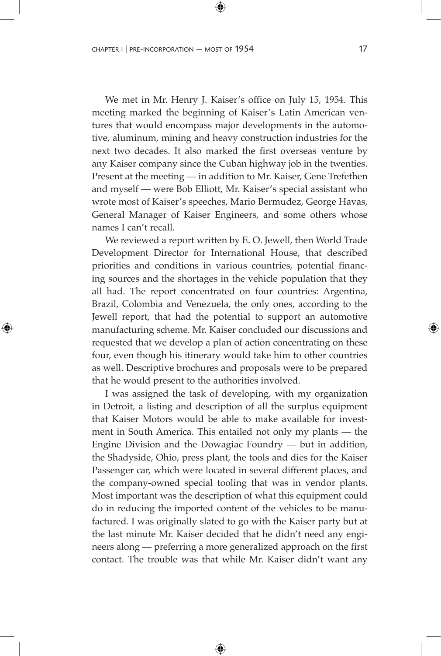chapter i | pre-incorporation — most of 1954 17

◈

We met in Mr. Henry J. Kaiser's office on July 15, 1954. This meeting marked the beginning of Kaiser's Latin American ventures that would encompass major developments in the automotive, aluminum, mining and heavy construction industries for the next two decades. It also marked the first overseas venture by any Kaiser company since the Cuban highway job in the twenties. Present at the meeting — in addition to Mr. Kaiser, Gene Trefethen and myself — were Bob Elliott, Mr. Kaiser's special assistant who wrote most of Kaiser's speeches, Mario Bermudez, George Havas, General Manager of Kaiser Engineers, and some others whose names I can't recall.

We reviewed a report written by E. O. Jewell, then World Trade Development Director for International House, that described priorities and conditions in various countries, potential financing sources and the shortages in the vehicle population that they all had. The report concentrated on four countries: Argentina, Brazil, Colombia and Venezuela, the only ones, according to the Jewell report, that had the potential to support an automotive manufacturing scheme. Mr. Kaiser concluded our discussions and requested that we develop a plan of action concentrating on these four, even though his itinerary would take him to other countries as well. Descriptive brochures and proposals were to be prepared that he would present to the authorities involved.

I was assigned the task of developing, with my organization in Detroit, a listing and description of all the surplus equipment that Kaiser Motors would be able to make available for investment in South America. This entailed not only my plants — the Engine Division and the Dowagiac Foundry — but in addition, the Shadyside, Ohio, press plant, the tools and dies for the Kaiser Passenger car, which were located in several different places, and the company-owned special tooling that was in vendor plants. Most important was the description of what this equipment could do in reducing the imported content of the vehicles to be manufactured. I was originally slated to go with the Kaiser party but at the last minute Mr. Kaiser decided that he didn't need any engineers along — preferring a more generalized approach on the first contact. The trouble was that while Mr. Kaiser didn't want any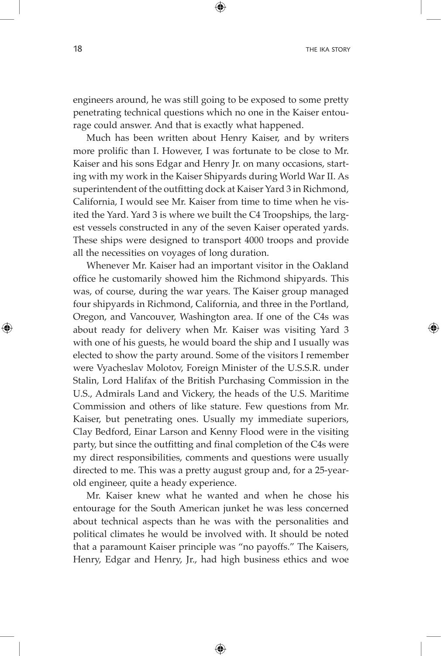engineers around, he was still going to be exposed to some pretty penetrating technical questions which no one in the Kaiser entourage could answer. And that is exactly what happened.

◈

Much has been written about Henry Kaiser, and by writers more prolific than I. However, I was fortunate to be close to Mr. Kaiser and his sons Edgar and Henry Jr. on many occasions, starting with my work in the Kaiser Shipyards during World War II. As superintendent of the outfitting dock at Kaiser Yard 3 in Richmond, California, I would see Mr. Kaiser from time to time when he visited the Yard. Yard 3 is where we built the C4 Troopships, the largest vessels constructed in any of the seven Kaiser operated yards. These ships were designed to transport 4000 troops and provide all the necessities on voyages of long duration.

Whenever Mr. Kaiser had an important visitor in the Oakland office he customarily showed him the Richmond shipyards. This was, of course, during the war years. The Kaiser group managed four shipyards in Richmond, California, and three in the Portland, Oregon, and Vancouver, Washington area. If one of the C4s was about ready for delivery when Mr. Kaiser was visiting Yard 3 with one of his guests, he would board the ship and I usually was elected to show the party around. Some of the visitors I remember were Vyacheslav Molotov, Foreign Minister of the U.S.S.R. under Stalin, Lord Halifax of the British Purchasing Commission in the U.S., Admirals Land and Vickery, the heads of the U.S. Maritime Commission and others of like stature. Few questions from Mr. Kaiser, but penetrating ones. Usually my immediate superiors, Clay Bedford, Einar Larson and Kenny Flood were in the visiting party, but since the outfitting and final completion of the C4s were my direct responsibilities, comments and questions were usually directed to me. This was a pretty august group and, for a 25-yearold engineer, quite a heady experience.

Mr. Kaiser knew what he wanted and when he chose his entourage for the South American junket he was less concerned about technical aspects than he was with the personalities and political climates he would be involved with. It should be noted that a paramount Kaiser principle was "no payoffs." The Kaisers, Henry, Edgar and Henry, Jr., had high business ethics and woe

◈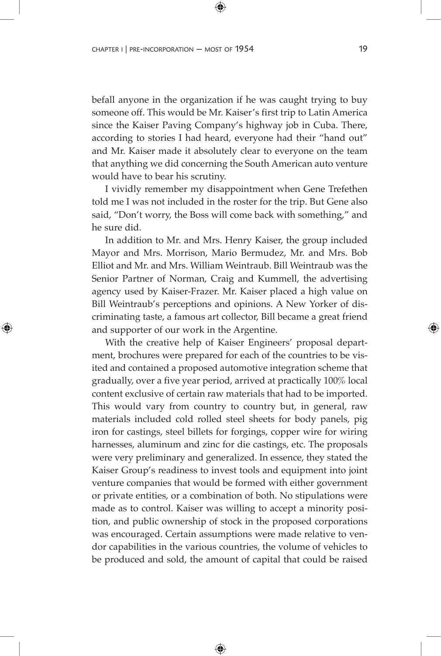◈

befall anyone in the organization if he was caught trying to buy someone off. This would be Mr. Kaiser's first trip to Latin America since the Kaiser Paving Company's highway job in Cuba. There, according to stories I had heard, everyone had their "hand out" and Mr. Kaiser made it absolutely clear to everyone on the team that anything we did concerning the South American auto venture would have to bear his scrutiny.

◈

I vividly remember my disappointment when Gene Trefethen told me I was not included in the roster for the trip. But Gene also said, "Don't worry, the Boss will come back with something," and he sure did.

In addition to Mr. and Mrs. Henry Kaiser, the group included Mayor and Mrs. Morrison, Mario Bermudez, Mr. and Mrs. Bob Elliot and Mr. and Mrs. William Weintraub. Bill Weintraub was the Senior Partner of Norman, Craig and Kummell, the advertising agency used by Kaiser-Frazer. Mr. Kaiser placed a high value on Bill Weintraub's perceptions and opinions. A New Yorker of discriminating taste, a famous art collector, Bill became a great friend and supporter of our work in the Argentine.

With the creative help of Kaiser Engineers' proposal department, brochures were prepared for each of the countries to be visited and contained a proposed automotive integration scheme that gradually, over a five year period, arrived at practically 100% local content exclusive of certain raw materials that had to be imported. This would vary from country to country but, in general, raw materials included cold rolled steel sheets for body panels, pig iron for castings, steel billets for forgings, copper wire for wiring harnesses, aluminum and zinc for die castings, etc. The proposals were very preliminary and generalized. In essence, they stated the Kaiser Group's readiness to invest tools and equipment into joint venture companies that would be formed with either government or private entities, or a combination of both. No stipulations were made as to control. Kaiser was willing to accept a minority position, and public ownership of stock in the proposed corporations was encouraged. Certain assumptions were made relative to vendor capabilities in the various countries, the volume of vehicles to be produced and sold, the amount of capital that could be raised